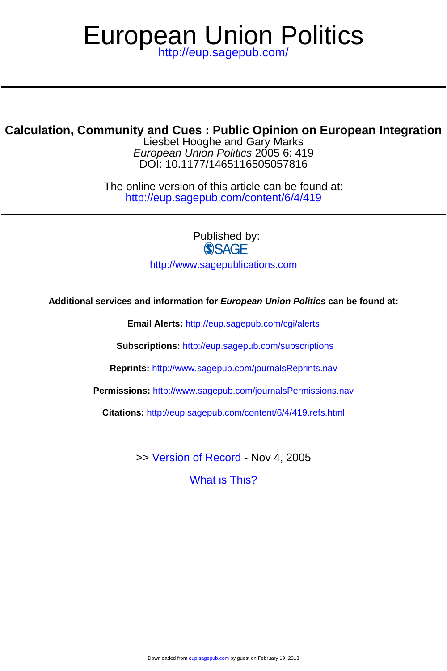# <http://eup.sagepub.com/> European Union Politics

## **Calculation, Community and Cues : Public Opinion on European Integration**

DOI: 10.1177/1465116505057816 European Union Politics 2005 6: 419 Liesbet Hooghe and Gary Marks

<http://eup.sagepub.com/content/6/4/419> The online version of this article can be found at:

> Published by:<br>
> SAGE <http://www.sagepublications.com>

**Additional services and information for European Union Politics can be found at:**

**Email Alerts:** <http://eup.sagepub.com/cgi/alerts>

**Subscriptions:** <http://eup.sagepub.com/subscriptions>

**Reprints:** <http://www.sagepub.com/journalsReprints.nav>

**Permissions:** <http://www.sagepub.com/journalsPermissions.nav>

**Citations:** <http://eup.sagepub.com/content/6/4/419.refs.html>

>> [Version of Record -](http://eup.sagepub.com/content/6/4/419.full.pdf) Nov 4, 2005

[What is This?](http://online.sagepub.com/site/sphelp/vorhelp.xhtml)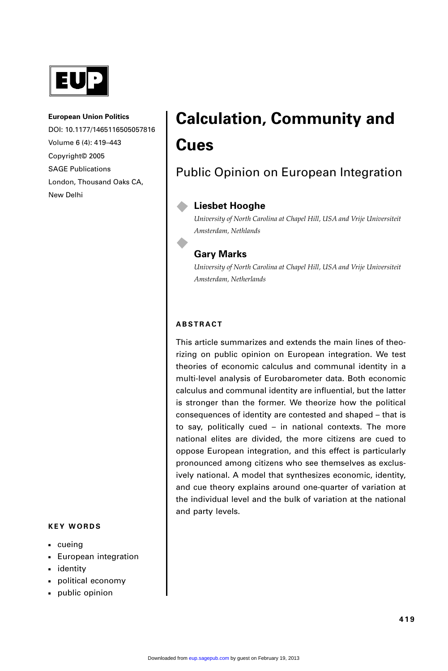

#### **European Union Politics**

DOI: 10.1177/1465116505057816 Volume 6 (4): 419–443 Copyright© 2005 SAGE Publications London, Thousand Oaks CA, New Delhi

#### **KEY WORDS**

- cueing
- **European integration**
- **i** identity
- political economy
- public opinion

# **Calculation, Community and Cues**

## Public Opinion on European Integration

### **Liesbet Hooghe**

*University of North Carolina at Chapel Hill, USA and Vrije Universiteit Amsterdam, Nethlands*

#### **Gary Marks**

*University of North Carolina at Chapel Hill, USA and Vrije Universiteit Amsterdam, Netherlands*

#### **ABSTRACT**

This article summarizes and extends the main lines of theorizing on public opinion on European integration. We test theories of economic calculus and communal identity in a multi-level analysis of Eurobarometer data. Both economic calculus and communal identity are influential, but the latter is stronger than the former. We theorize how the political consequences of identity are contested and shaped – that is to say, politically cued – in national contexts. The more national elites are divided, the more citizens are cued to oppose European integration, and this effect is particularly pronounced among citizens who see themselves as exclusively national. A model that synthesizes economic, identity, and cue theory explains around one-quarter of variation at the individual level and the bulk of variation at the national and party levels.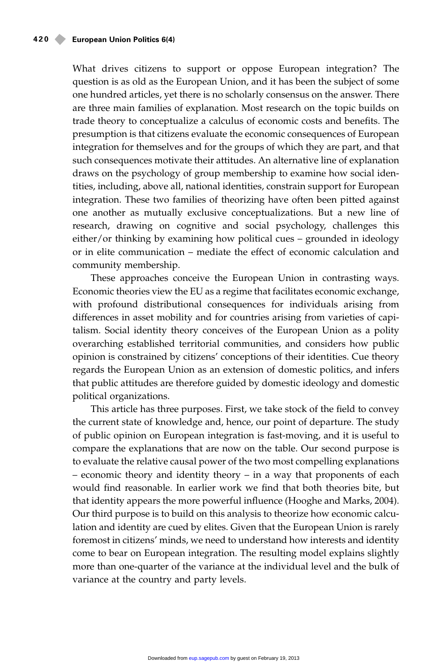What drives citizens to support or oppose European integration? The question is as old as the European Union, and it has been the subject of some one hundred articles, yet there is no scholarly consensus on the answer. There are three main families of explanation. Most research on the topic builds on trade theory to conceptualize a calculus of economic costs and benefits. The presumption is that citizens evaluate the economic consequences of European integration for themselves and for the groups of which they are part, and that such consequences motivate their attitudes. An alternative line of explanation draws on the psychology of group membership to examine how social identities, including, above all, national identities, constrain support for European integration. These two families of theorizing have often been pitted against one another as mutually exclusive conceptualizations. But a new line of research, drawing on cognitive and social psychology, challenges this either/or thinking by examining how political cues – grounded in ideology or in elite communication – mediate the effect of economic calculation and community membership.

These approaches conceive the European Union in contrasting ways. Economic theories view the EU as a regime that facilitates economic exchange, with profound distributional consequences for individuals arising from differences in asset mobility and for countries arising from varieties of capitalism. Social identity theory conceives of the European Union as a polity overarching established territorial communities, and considers how public opinion is constrained by citizens' conceptions of their identities. Cue theory regards the European Union as an extension of domestic politics, and infers that public attitudes are therefore guided by domestic ideology and domestic political organizations.

This article has three purposes. First, we take stock of the field to convey the current state of knowledge and, hence, our point of departure. The study of public opinion on European integration is fast-moving, and it is useful to compare the explanations that are now on the table. Our second purpose is to evaluate the relative causal power of the two most compelling explanations – economic theory and identity theory – in a way that proponents of each would find reasonable. In earlier work we find that both theories bite, but that identity appears the more powerful influence (Hooghe and Marks, 2004). Our third purpose is to build on this analysis to theorize how economic calculation and identity are cued by elites. Given that the European Union is rarely foremost in citizens' minds, we need to understand how interests and identity come to bear on European integration. The resulting model explains slightly more than one-quarter of the variance at the individual level and the bulk of variance at the country and party levels.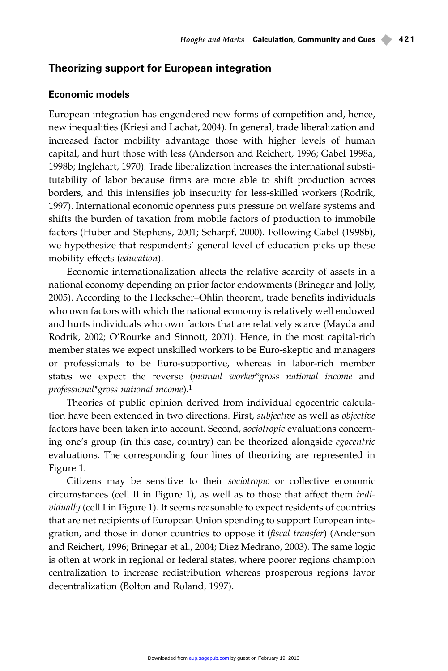#### **Theorizing support for European integration**

#### **Economic models**

European integration has engendered new forms of competition and, hence, new inequalities (Kriesi and Lachat, 2004). In general, trade liberalization and increased factor mobility advantage those with higher levels of human capital, and hurt those with less (Anderson and Reichert, 1996; Gabel 1998a, 1998b; Inglehart, 1970). Trade liberalization increases the international substitutability of labor because firms are more able to shift production across borders, and this intensifies job insecurity for less-skilled workers (Rodrik, 1997). International economic openness puts pressure on welfare systems and shifts the burden of taxation from mobile factors of production to immobile factors (Huber and Stephens, 2001; Scharpf, 2000). Following Gabel (1998b), we hypothesize that respondents' general level of education picks up these mobility effects (*education*).

Economic internationalization affects the relative scarcity of assets in a national economy depending on prior factor endowments (Brinegar and Jolly, 2005). According to the Heckscher–Ohlin theorem, trade benefits individuals who own factors with which the national economy is relatively well endowed and hurts individuals who own factors that are relatively scarce (Mayda and Rodrik, 2002; O'Rourke and Sinnott, 2001). Hence, in the most capital-rich member states we expect unskilled workers to be Euro-skeptic and managers or professionals to be Euro-supportive, whereas in labor-rich member states we expect the reverse (*manual worker\*gross national income* and *professional\*gross national income*).1

Theories of public opinion derived from individual egocentric calculation have been extended in two directions. First, *subjective* as well as *objective* factors have been taken into account. Second, s*ociotropic* evaluations concerning one's group (in this case, country) can be theorized alongside *egocentric* evaluations. The corresponding four lines of theorizing are represented in Figure 1.

Citizens may be sensitive to their *sociotropic* or collective economic circumstances (cell II in Figure 1), as well as to those that affect them *individually* (cell I in Figure 1). It seems reasonable to expect residents of countries that are net recipients of European Union spending to support European integration, and those in donor countries to oppose it (*fiscal transfer*) (Anderson and Reichert, 1996; Brinegar et al., 2004; Diez Medrano, 2003). The same logic is often at work in regional or federal states, where poorer regions champion centralization to increase redistribution whereas prosperous regions favor decentralization (Bolton and Roland, 1997).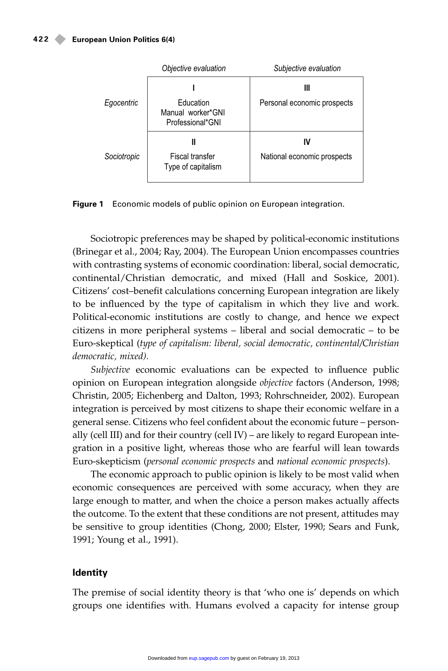|             | Objective evaluation                               | Subjective evaluation       |
|-------------|----------------------------------------------------|-----------------------------|
|             |                                                    | Ш                           |
| Egocentric  | Education<br>Manual worker*GNI<br>Professional*GNI | Personal economic prospects |
|             | II                                                 | IV                          |
| Sociotropic | Fiscal transfer<br>Type of capitalism              | National economic prospects |

**Figure 1** Economic models of public opinion on European integration.

Sociotropic preferences may be shaped by political-economic institutions (Brinegar et al., 2004; Ray, 2004). The European Union encompasses countries with contrasting systems of economic coordination: liberal, social democratic, continental/Christian democratic, and mixed (Hall and Soskice, 2001). Citizens' cost–benefit calculations concerning European integration are likely to be influenced by the type of capitalism in which they live and work. Political-economic institutions are costly to change, and hence we expect citizens in more peripheral systems – liberal and social democratic – to be Euro-skeptical (*type of capitalism: liberal, social democratic, continental/Christian democratic, mixed).*

*Subjective* economic evaluations can be expected to influence public opinion on European integration alongside *objective* factors (Anderson, 1998; Christin, 2005; Eichenberg and Dalton, 1993; Rohrschneider, 2002). European integration is perceived by most citizens to shape their economic welfare in a general sense. Citizens who feel confident about the economic future – personally (cell III) and for their country (cell IV) – are likely to regard European integration in a positive light, whereas those who are fearful will lean towards Euro-skepticism (*personal economic prospects* and *national economic prospects*).

The economic approach to public opinion is likely to be most valid when economic consequences are perceived with some accuracy, when they are large enough to matter, and when the choice a person makes actually affects the outcome. To the extent that these conditions are not present, attitudes may be sensitive to group identities (Chong, 2000; Elster, 1990; Sears and Funk, 1991; Young et al., 1991).

### **Identity**

The premise of social identity theory is that 'who one is' depends on which groups one identifies with. Humans evolved a capacity for intense group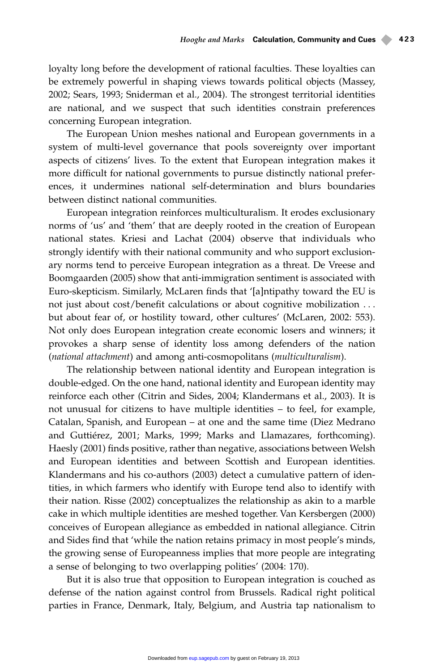loyalty long before the development of rational faculties. These loyalties can be extremely powerful in shaping views towards political objects (Massey, 2002; Sears, 1993; Sniderman et al., 2004). The strongest territorial identities are national, and we suspect that such identities constrain preferences concerning European integration.

The European Union meshes national and European governments in a system of multi-level governance that pools sovereignty over important aspects of citizens' lives. To the extent that European integration makes it more difficult for national governments to pursue distinctly national preferences, it undermines national self-determination and blurs boundaries between distinct national communities.

European integration reinforces multiculturalism. It erodes exclusionary norms of 'us' and 'them' that are deeply rooted in the creation of European national states. Kriesi and Lachat (2004) observe that individuals who strongly identify with their national community and who support exclusionary norms tend to perceive European integration as a threat. De Vreese and Boomgaarden (2005) show that anti-immigration sentiment is associated with Euro-skepticism. Similarly, McLaren finds that '[a]ntipathy toward the EU is not just about cost/benefit calculations or about cognitive mobilization . . . but about fear of, or hostility toward, other cultures' (McLaren, 2002: 553). Not only does European integration create economic losers and winners; it provokes a sharp sense of identity loss among defenders of the nation (*national attachment*) and among anti-cosmopolitans (*multiculturalism*).

The relationship between national identity and European integration is double-edged. On the one hand, national identity and European identity may reinforce each other (Citrin and Sides, 2004; Klandermans et al., 2003). It is not unusual for citizens to have multiple identities – to feel, for example, Catalan, Spanish, and European – at one and the same time (Diez Medrano and Guttiérez, 2001; Marks, 1999; Marks and Llamazares, forthcoming). Haesly (2001) finds positive, rather than negative, associations between Welsh and European identities and between Scottish and European identities. Klandermans and his co-authors (2003) detect a cumulative pattern of identities, in which farmers who identify with Europe tend also to identify with their nation. Risse (2002) conceptualizes the relationship as akin to a marble cake in which multiple identities are meshed together. Van Kersbergen (2000) conceives of European allegiance as embedded in national allegiance. Citrin and Sides find that 'while the nation retains primacy in most people's minds, the growing sense of Europeanness implies that more people are integrating a sense of belonging to two overlapping polities' (2004: 170).

But it is also true that opposition to European integration is couched as defense of the nation against control from Brussels. Radical right political parties in France, Denmark, Italy, Belgium, and Austria tap nationalism to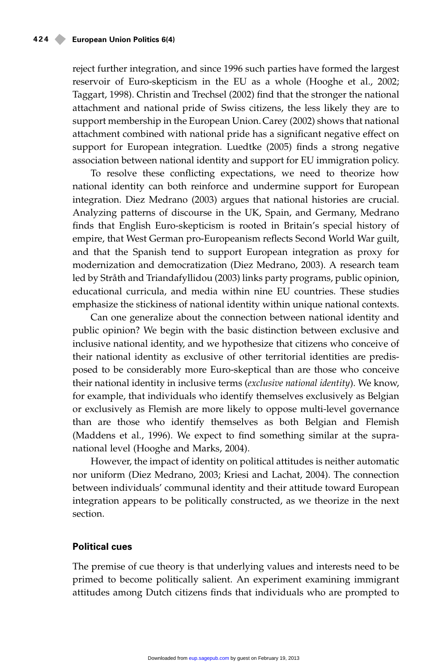reject further integration, and since 1996 such parties have formed the largest reservoir of Euro-skepticism in the EU as a whole (Hooghe et al., 2002; Taggart, 1998). Christin and Trechsel (2002) find that the stronger the national attachment and national pride of Swiss citizens, the less likely they are to support membership in the European Union. Carey (2002) shows that national attachment combined with national pride has a significant negative effect on support for European integration. Luedtke (2005) finds a strong negative association between national identity and support for EU immigration policy.

To resolve these conflicting expectations, we need to theorize how national identity can both reinforce and undermine support for European integration. Diez Medrano (2003) argues that national histories are crucial. Analyzing patterns of discourse in the UK, Spain, and Germany, Medrano finds that English Euro-skepticism is rooted in Britain's special history of empire, that West German pro-Europeanism reflects Second World War guilt, and that the Spanish tend to support European integration as proxy for modernization and democratization (Diez Medrano, 2003). A research team led by Stråth and Triandafyllidou (2003) links party programs, public opinion, educational curricula, and media within nine EU countries. These studies emphasize the stickiness of national identity within unique national contexts.

Can one generalize about the connection between national identity and public opinion? We begin with the basic distinction between exclusive and inclusive national identity, and we hypothesize that citizens who conceive of their national identity as exclusive of other territorial identities are predisposed to be considerably more Euro-skeptical than are those who conceive their national identity in inclusive terms (*exclusive national identity*). We know, for example, that individuals who identify themselves exclusively as Belgian or exclusively as Flemish are more likely to oppose multi-level governance than are those who identify themselves as both Belgian and Flemish (Maddens et al., 1996). We expect to find something similar at the supranational level (Hooghe and Marks, 2004).

However, the impact of identity on political attitudes is neither automatic nor uniform (Diez Medrano, 2003; Kriesi and Lachat, 2004). The connection between individuals' communal identity and their attitude toward European integration appears to be politically constructed, as we theorize in the next section.

#### **Political cues**

The premise of cue theory is that underlying values and interests need to be primed to become politically salient. An experiment examining immigrant attitudes among Dutch citizens finds that individuals who are prompted to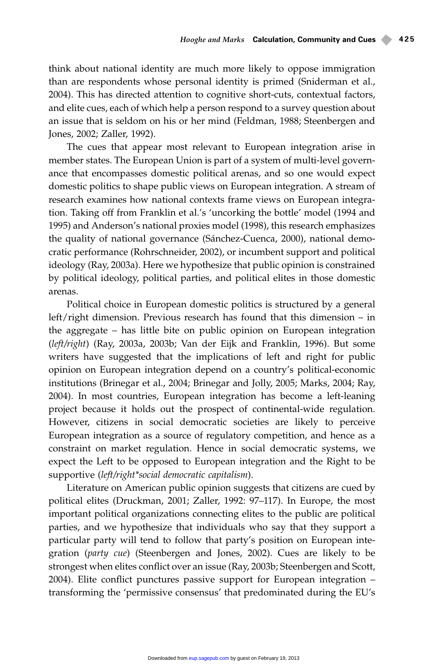think about national identity are much more likely to oppose immigration than are respondents whose personal identity is primed (Sniderman et al., 2004). This has directed attention to cognitive short-cuts, contextual factors, and elite cues, each of which help a person respond to a survey question about an issue that is seldom on his or her mind (Feldman, 1988; Steenbergen and Jones, 2002; Zaller, 1992).

The cues that appear most relevant to European integration arise in member states. The European Union is part of a system of multi-level governance that encompasses domestic political arenas, and so one would expect domestic politics to shape public views on European integration. A stream of research examines how national contexts frame views on European integration. Taking off from Franklin et al.'s 'uncorking the bottle' model (1994 and 1995) and Anderson's national proxies model (1998), this research emphasizes the quality of national governance (Sánchez-Cuenca, 2000), national democratic performance (Rohrschneider, 2002), or incumbent support and political ideology (Ray, 2003a). Here we hypothesize that public opinion is constrained by political ideology, political parties, and political elites in those domestic arenas.

Political choice in European domestic politics is structured by a general left/right dimension. Previous research has found that this dimension – in the aggregate – has little bite on public opinion on European integration (*left/right*) (Ray, 2003a, 2003b; Van der Eijk and Franklin, 1996). But some writers have suggested that the implications of left and right for public opinion on European integration depend on a country's political-economic institutions (Brinegar et al., 2004; Brinegar and Jolly, 2005; Marks, 2004; Ray, 2004). In most countries, European integration has become a left-leaning project because it holds out the prospect of continental-wide regulation. However, citizens in social democratic societies are likely to perceive European integration as a source of regulatory competition, and hence as a constraint on market regulation. Hence in social democratic systems, we expect the Left to be opposed to European integration and the Right to be supportive (*left/right\*social democratic capitalism*).

Literature on American public opinion suggests that citizens are cued by political elites (Druckman, 2001; Zaller, 1992: 97–117). In Europe, the most important political organizations connecting elites to the public are political parties, and we hypothesize that individuals who say that they support a particular party will tend to follow that party's position on European integration (*party cue*) (Steenbergen and Jones, 2002). Cues are likely to be strongest when elites conflict over an issue (Ray, 2003b; Steenbergen and Scott, 2004). Elite conflict punctures passive support for European integration – transforming the 'permissive consensus' that predominated during the EU's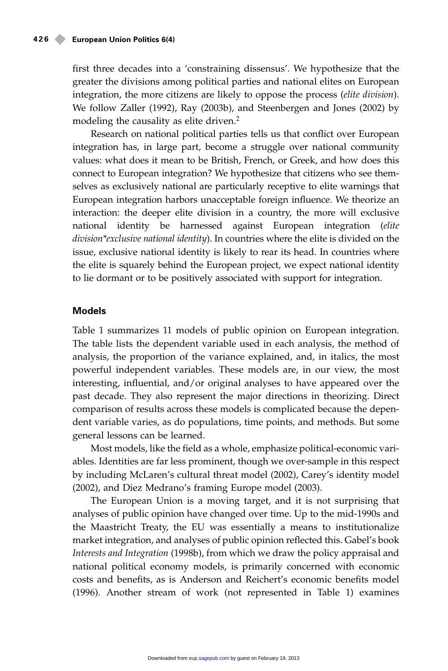first three decades into a 'constraining dissensus'. We hypothesize that the greater the divisions among political parties and national elites on European integration, the more citizens are likely to oppose the process (*elite division*). We follow Zaller (1992), Ray (2003b), and Steenbergen and Jones (2002) by modeling the causality as elite driven.<sup>2</sup>

Research on national political parties tells us that conflict over European integration has, in large part, become a struggle over national community values: what does it mean to be British, French, or Greek, and how does this connect to European integration? We hypothesize that citizens who see themselves as exclusively national are particularly receptive to elite warnings that European integration harbors unacceptable foreign influence. We theorize an interaction: the deeper elite division in a country, the more will exclusive national identity be harnessed against European integration (*elite division\*exclusive national identity*). In countries where the elite is divided on the issue, exclusive national identity is likely to rear its head. In countries where the elite is squarely behind the European project, we expect national identity to lie dormant or to be positively associated with support for integration.

#### **Models**

Table 1 summarizes 11 models of public opinion on European integration. The table lists the dependent variable used in each analysis, the method of analysis, the proportion of the variance explained, and, in italics, the most powerful independent variables. These models are, in our view, the most interesting, influential, and/or original analyses to have appeared over the past decade. They also represent the major directions in theorizing. Direct comparison of results across these models is complicated because the dependent variable varies, as do populations, time points, and methods. But some general lessons can be learned.

Most models, like the field as a whole, emphasize political-economic variables. Identities are far less prominent, though we over-sample in this respect by including McLaren's cultural threat model (2002), Carey's identity model (2002), and Diez Medrano's framing Europe model (2003).

The European Union is a moving target, and it is not surprising that analyses of public opinion have changed over time. Up to the mid-1990s and the Maastricht Treaty, the EU was essentially a means to institutionalize market integration, and analyses of public opinion reflected this. Gabel's book *Interests and Integration* (1998b), from which we draw the policy appraisal and national political economy models, is primarily concerned with economic costs and benefits, as is Anderson and Reichert's economic benefits model (1996). Another stream of work (not represented in Table 1) examines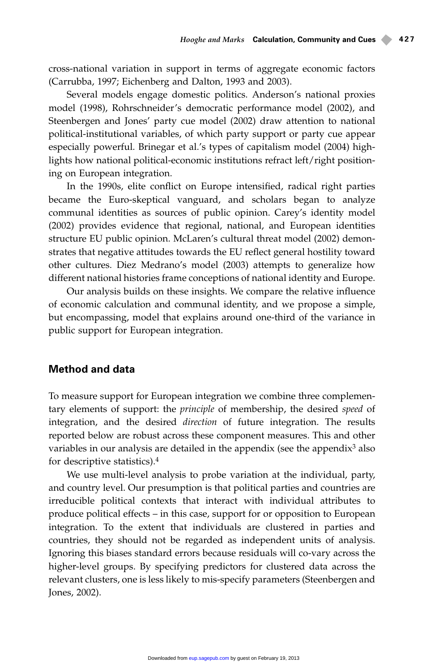cross-national variation in support in terms of aggregate economic factors (Carrubba, 1997; Eichenberg and Dalton, 1993 and 2003).

Several models engage domestic politics. Anderson's national proxies model (1998), Rohrschneider's democratic performance model (2002), and Steenbergen and Jones' party cue model (2002) draw attention to national political-institutional variables, of which party support or party cue appear especially powerful. Brinegar et al.'s types of capitalism model (2004) highlights how national political-economic institutions refract left/right positioning on European integration.

In the 1990s, elite conflict on Europe intensified, radical right parties became the Euro-skeptical vanguard, and scholars began to analyze communal identities as sources of public opinion. Carey's identity model (2002) provides evidence that regional, national, and European identities structure EU public opinion. McLaren's cultural threat model (2002) demonstrates that negative attitudes towards the EU reflect general hostility toward other cultures. Diez Medrano's model (2003) attempts to generalize how different national histories frame conceptions of national identity and Europe.

Our analysis builds on these insights. We compare the relative influence of economic calculation and communal identity, and we propose a simple, but encompassing, model that explains around one-third of the variance in public support for European integration.

### **Method and data**

To measure support for European integration we combine three complementary elements of support: the *principle* of membership, the desired *speed* of integration, and the desired *direction* of future integration. The results reported below are robust across these component measures. This and other variables in our analysis are detailed in the appendix (see the appendix $3$  also for descriptive statistics).4

We use multi-level analysis to probe variation at the individual, party, and country level. Our presumption is that political parties and countries are irreducible political contexts that interact with individual attributes to produce political effects – in this case, support for or opposition to European integration. To the extent that individuals are clustered in parties and countries, they should not be regarded as independent units of analysis. Ignoring this biases standard errors because residuals will co-vary across the higher-level groups. By specifying predictors for clustered data across the relevant clusters, one is less likely to mis-specify parameters (Steenbergen and Jones, 2002).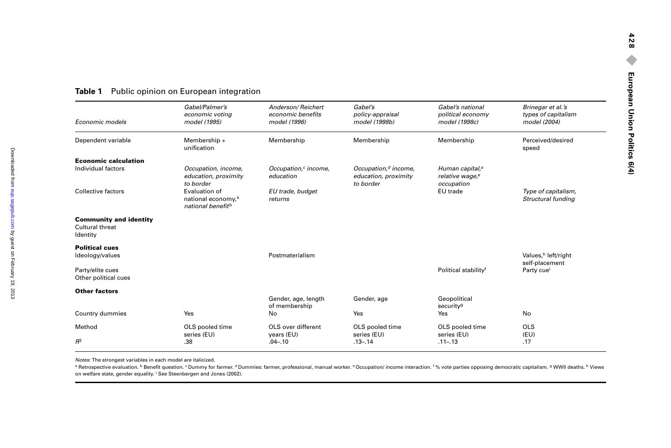| Table 1                                                      | Public opinion on European integration<br>Gabel/Palmer's                         | Anderson/Reichert                             | Gabel's                                                               | Gabel's national                                                         | Brinegar et al.'s                                 |
|--------------------------------------------------------------|----------------------------------------------------------------------------------|-----------------------------------------------|-----------------------------------------------------------------------|--------------------------------------------------------------------------|---------------------------------------------------|
| Economic models                                              | economic voting<br>model (1995)                                                  | economic benefits<br>model (1996)             | policy-appraisal<br>model (1998b)                                     | political economy<br>model (1998c)                                       | types of capitalism<br>model (2004)               |
| Dependent variable                                           | Membership +<br>unification                                                      | Membership                                    | Membership                                                            | Membership                                                               | Perceived/desired<br>speed                        |
| <b>Economic calculation</b><br>Individual factors            | Occupation, income,<br>education, proximity<br>to border                         | Occupation, <sup>c</sup> income,<br>education | Occupation, <sup>d</sup> income,<br>education, proximity<br>to border | Human capital, <sup>a</sup><br>relative wage, <sup>e</sup><br>occupation |                                                   |
| Collective factors                                           | Evaluation of<br>national economy, <sup>a</sup><br>national benefit <sup>b</sup> | EU trade, budget<br>returns                   |                                                                       | EU trade                                                                 | Type of capitalism,<br>Structural funding         |
| <b>Community and identity</b><br>Cultural threat<br>Identity |                                                                                  |                                               |                                                                       |                                                                          |                                                   |
| <b>Political cues</b><br>Ideology/values                     |                                                                                  | Postmaterialism                               |                                                                       |                                                                          | Values, <sup>h</sup> left/right<br>self-placement |
| Party/elite cues<br>Other political cues                     |                                                                                  |                                               |                                                                       | Political stability <sup>f</sup>                                         | Party cue <sup>i</sup>                            |
| <b>Other factors</b>                                         |                                                                                  | Gender, age, length                           | Gender, age                                                           | Geopolitical                                                             |                                                   |
| Country dummies                                              | Yes                                                                              | of membership<br>No                           | Yes                                                                   | security <sup>g</sup><br>Yes                                             | No                                                |
| Method                                                       | OLS pooled time                                                                  | OLS over different                            | OLS pooled time                                                       | OLS pooled time                                                          | <b>OLS</b>                                        |
| R <sup>2</sup>                                               | series (EU)<br>.38                                                               | years (EU)<br>$.04 - .10$                     | series (EU)<br>$.13 - .14$                                            | series (EU)<br>$.11 - .13$                                               | (EU)<br>.17                                       |

Notes: The strongest variables in each model are italicized.

a Retrospective evaluation. b Benefit question. c Dummy for farmer. d Dummies: farmer, professional, manual worker. e Occupation/ income interaction. f % vote parties opposing democratic capitalism. a WWII deaths. h Views on welfare state, gender equality. i See Steenbergen and Jones (2002).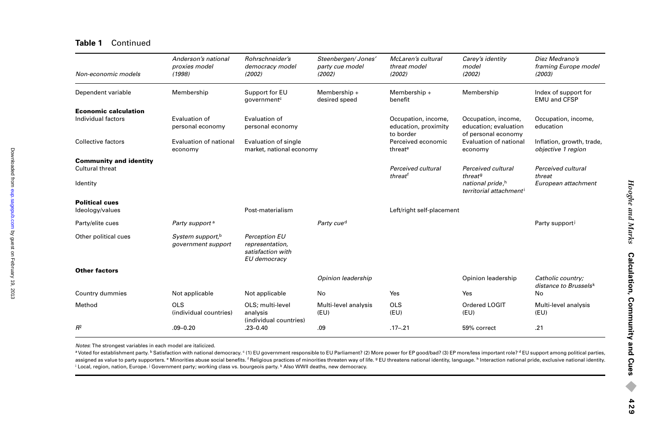| Non-economic models                              | Anderson's national<br>proxies model<br>(1998)     | Rohrschneider's<br>democracy model<br>(2002)                          | Steenbergen/Jones'<br>party cue model<br>(2002) | McLaren's cultural<br>threat model<br>(2002)             | Carey's identity<br>model<br>(2002)                                 | Diez Medrano's<br>framing Europe model<br>(2003) |
|--------------------------------------------------|----------------------------------------------------|-----------------------------------------------------------------------|-------------------------------------------------|----------------------------------------------------------|---------------------------------------------------------------------|--------------------------------------------------|
|                                                  |                                                    |                                                                       |                                                 |                                                          |                                                                     |                                                  |
| Dependent variable                               | Membership                                         | Support for EU<br>government <sup>c</sup>                             | Membership +<br>desired speed                   | Membership +<br>benefit                                  | Membership                                                          | Index of support for<br><b>EMU and CFSP</b>      |
| <b>Economic calculation</b>                      |                                                    |                                                                       |                                                 |                                                          |                                                                     |                                                  |
| Individual factors                               | Evaluation of<br>personal economy                  | Evaluation of<br>personal economy                                     |                                                 | Occupation, income,<br>education, proximity<br>to border | Occupation, income,<br>education; evaluation<br>of personal economy | Occupation, income,<br>education                 |
| <b>Collective factors</b>                        | Evaluation of national<br>economy                  | Evaluation of single<br>market, national economy                      |                                                 | Perceived economic<br>threat <sup>e</sup>                | Evaluation of national<br>economy                                   | Inflation, growth, trade,<br>objective 1 region  |
| <b>Community and identity</b><br>Cultural threat |                                                    |                                                                       |                                                 | Perceived cultural                                       | Perceived cultural                                                  | Perceived cultural                               |
|                                                  |                                                    |                                                                       |                                                 | threat <sup>f</sup>                                      | threat <sup>9</sup>                                                 | threat                                           |
| Identity                                         |                                                    |                                                                       |                                                 |                                                          | national pride, <sup>h</sup><br>territorial attachment <sup>i</sup> | European attachment                              |
| <b>Political cues</b>                            |                                                    |                                                                       |                                                 |                                                          |                                                                     |                                                  |
| Ideology/values                                  |                                                    | Post-materialism                                                      |                                                 | Left/right self-placement                                |                                                                     |                                                  |
| Party/elite cues                                 | Party support <sup>a</sup>                         |                                                                       | Party cue <sup>d</sup>                          |                                                          |                                                                     | Party supporti                                   |
| Other political cues                             | System support, <sup>b</sup><br>government support | Perception EU<br>representation,<br>satisfaction with<br>EU democracy |                                                 |                                                          |                                                                     |                                                  |
| <b>Other factors</b>                             |                                                    |                                                                       |                                                 |                                                          |                                                                     |                                                  |
|                                                  |                                                    |                                                                       | Opinion leadership                              |                                                          | Opinion leadership                                                  | Catholic country;<br>distance to Brusselsk       |
| Country dummies                                  | Not applicable                                     | Not applicable                                                        | No                                              | Yes                                                      | Yes                                                                 | No                                               |
| Method                                           | <b>OLS</b><br>(individual countries)               | OLS: multi-level<br>analysis<br>(individual countries)                | Multi-level analysis<br>(EU)                    | <b>OLS</b><br>(EU)                                       | Ordered LOGIT<br>(EU)                                               | Multi-level analysis<br>(EU)                     |
| $R^2$                                            | $.09 - 0.20$                                       | $.23 - 0.40$                                                          | .09                                             | $.17 - .21$                                              | 59% correct                                                         | .21                                              |

**Table 1** Continued

Notes: The strongest variables in each model are italicized.

<sup>a</sup> Voted for establishment party. <sup>b</sup> Satisfaction with national democracy. <sup>c</sup> (1) EU government responsible to EU Parliament? (2) More power for EP good/bad? (3) EP more/less important role? <sup>d</sup> EU support among politic assigned as value to party supporters. <sup>e</sup> Minorities abuse social benefits. <sup>f</sup> Religious practices of minorities threaten way of life. <sup>9</sup> EU threatens national identity, language. <sup>h</sup> Interaction national pride, exclusi i Local, region, nation, Europe. j Government party; working class vs. bourgeois party. k Also WWII deaths, new democracy.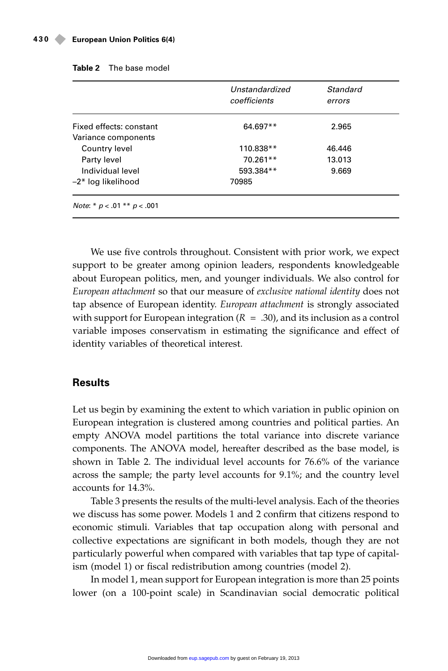| The base model<br>Table 2 |  |
|---------------------------|--|
|---------------------------|--|

|                                        | Unstandardized<br>coefficients | Standard<br>errors |
|----------------------------------------|--------------------------------|--------------------|
| Fixed effects: constant                | 64.697**                       | 2.965              |
| Variance components                    |                                |                    |
| Country level                          | 110.838**                      | 46.446             |
| Party level                            | 70.261**                       | 13.013             |
| Individual level                       | 593.384**                      | 9.669              |
| $-2$ * log likelihood                  | 70985                          |                    |
| <i>Note:</i> * $p < .01$ ** $p < .001$ |                                |                    |

We use five controls throughout. Consistent with prior work, we expect support to be greater among opinion leaders, respondents knowledgeable about European politics, men, and younger individuals. We also control for *European attachment* so that our measure of *exclusive national identity* does not tap absence of European identity. *European attachment* is strongly associated with support for European integration  $(R = .30)$ , and its inclusion as a control variable imposes conservatism in estimating the significance and effect of identity variables of theoretical interest.

#### **Results**

Let us begin by examining the extent to which variation in public opinion on European integration is clustered among countries and political parties. An empty ANOVA model partitions the total variance into discrete variance components. The ANOVA model, hereafter described as the base model, is shown in Table 2. The individual level accounts for 76.6% of the variance across the sample; the party level accounts for 9.1%; and the country level accounts for 14.3%.

Table 3 presents the results of the multi-level analysis. Each of the theories we discuss has some power. Models 1 and 2 confirm that citizens respond to economic stimuli. Variables that tap occupation along with personal and collective expectations are significant in both models, though they are not particularly powerful when compared with variables that tap type of capitalism (model 1) or fiscal redistribution among countries (model 2).

In model 1, mean support for European integration is more than 25 points lower (on a 100-point scale) in Scandinavian social democratic political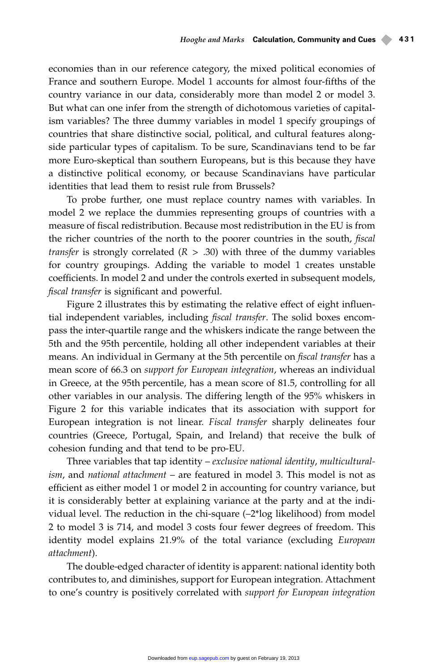economies than in our reference category, the mixed political economies of France and southern Europe. Model 1 accounts for almost four-fifths of the country variance in our data, considerably more than model 2 or model 3. But what can one infer from the strength of dichotomous varieties of capitalism variables? The three dummy variables in model 1 specify groupings of countries that share distinctive social, political, and cultural features alongside particular types of capitalism. To be sure, Scandinavians tend to be far more Euro-skeptical than southern Europeans, but is this because they have a distinctive political economy, or because Scandinavians have particular identities that lead them to resist rule from Brussels?

To probe further, one must replace country names with variables. In model 2 we replace the dummies representing groups of countries with a measure of fiscal redistribution. Because most redistribution in the EU is from the richer countries of the north to the poorer countries in the south, *fiscal transfer* is strongly correlated  $(R > .30)$  with three of the dummy variables for country groupings. Adding the variable to model 1 creates unstable coefficients. In model 2 and under the controls exerted in subsequent models, *fiscal transfer* is significant and powerful.

Figure 2 illustrates this by estimating the relative effect of eight influential independent variables, including *fiscal transfer*. The solid boxes encompass the inter-quartile range and the whiskers indicate the range between the 5th and the 95th percentile, holding all other independent variables at their means. An individual in Germany at the 5th percentile on *fiscal transfer* has a mean score of 66.3 on *support for European integration*, whereas an individual in Greece, at the 95th percentile, has a mean score of 81.5, controlling for all other variables in our analysis. The differing length of the 95% whiskers in Figure 2 for this variable indicates that its association with support for European integration is not linear. *Fiscal transfer* sharply delineates four countries (Greece, Portugal, Spain, and Ireland) that receive the bulk of cohesion funding and that tend to be pro-EU.

Three variables that tap identity – *exclusive national identity*, *multiculturalism*, and *national attachment* – are featured in model 3. This model is not as efficient as either model 1 or model 2 in accounting for country variance, but it is considerably better at explaining variance at the party and at the individual level. The reduction in the chi-square (–2\*log likelihood) from model 2 to model 3 is 714, and model 3 costs four fewer degrees of freedom. This identity model explains 21.9% of the total variance (excluding *European attachment*).

The double-edged character of identity is apparent: national identity both contributes to, and diminishes, support for European integration. Attachment to one's country is positively correlated with *support for European integration*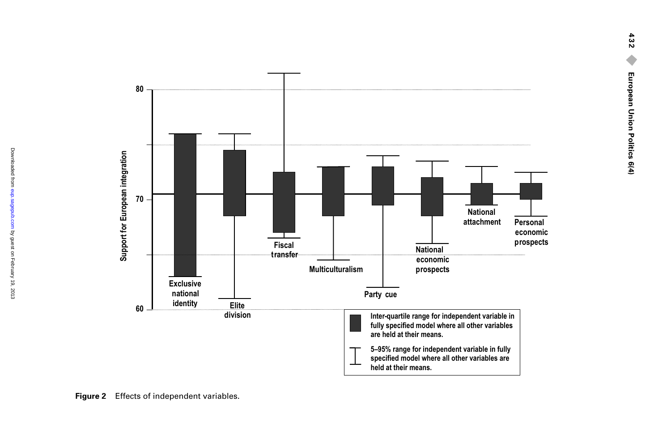



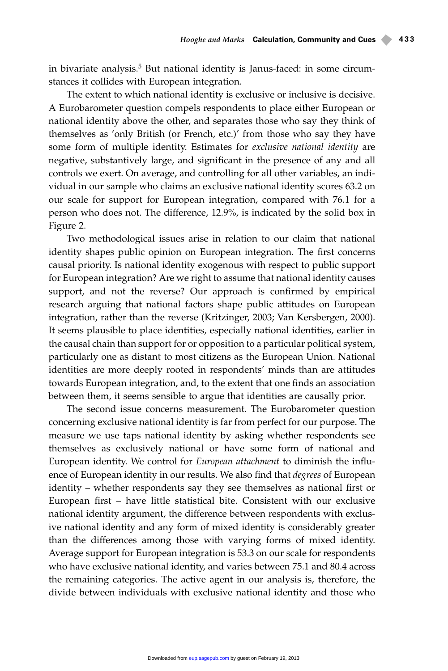in bivariate analysis.<sup>5</sup> But national identity is Janus-faced: in some circumstances it collides with European integration.

The extent to which national identity is exclusive or inclusive is decisive. A Eurobarometer question compels respondents to place either European or national identity above the other, and separates those who say they think of themselves as 'only British (or French, etc.)' from those who say they have some form of multiple identity. Estimates for *exclusive national identity* are negative, substantively large, and significant in the presence of any and all controls we exert. On average, and controlling for all other variables, an individual in our sample who claims an exclusive national identity scores 63.2 on our scale for support for European integration, compared with 76.1 for a person who does not. The difference, 12.9%, is indicated by the solid box in Figure 2.

Two methodological issues arise in relation to our claim that national identity shapes public opinion on European integration. The first concerns causal priority. Is national identity exogenous with respect to public support for European integration? Are we right to assume that national identity causes support, and not the reverse? Our approach is confirmed by empirical research arguing that national factors shape public attitudes on European integration, rather than the reverse (Kritzinger, 2003; Van Kersbergen, 2000). It seems plausible to place identities, especially national identities, earlier in the causal chain than support for or opposition to a particular political system, particularly one as distant to most citizens as the European Union. National identities are more deeply rooted in respondents' minds than are attitudes towards European integration, and, to the extent that one finds an association between them, it seems sensible to argue that identities are causally prior.

The second issue concerns measurement. The Eurobarometer question concerning exclusive national identity is far from perfect for our purpose. The measure we use taps national identity by asking whether respondents see themselves as exclusively national or have some form of national and European identity. We control for *European attachment* to diminish the influence of European identity in our results. We also find that *degrees* of European identity – whether respondents say they see themselves as national first or European first – have little statistical bite. Consistent with our exclusive national identity argument, the difference between respondents with exclusive national identity and any form of mixed identity is considerably greater than the differences among those with varying forms of mixed identity. Average support for European integration is 53.3 on our scale for respondents who have exclusive national identity, and varies between 75.1 and 80.4 across the remaining categories. The active agent in our analysis is, therefore, the divide between individuals with exclusive national identity and those who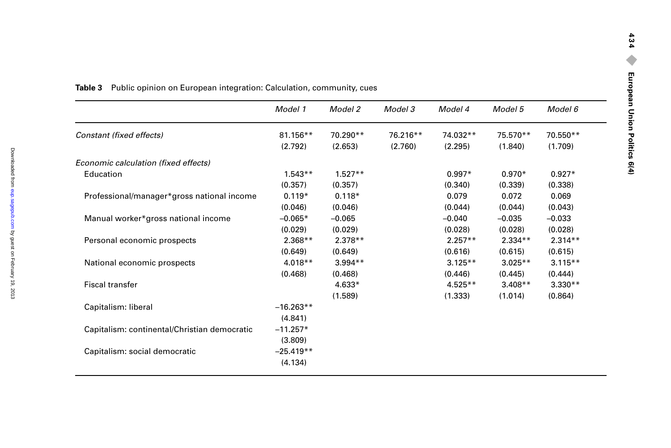|                                              | Model 1               | Model 2             | Model 3             | Model 4             | Model 5             | Model 6             |
|----------------------------------------------|-----------------------|---------------------|---------------------|---------------------|---------------------|---------------------|
| Constant (fixed effects)                     | $81.156**$<br>(2.792) | 70.290**<br>(2.653) | 76.216**<br>(2.760) | 74.032**<br>(2.295) | 75.570**<br>(1.840) | 70.550**<br>(1.709) |
| Economic calculation (fixed effects)         |                       |                     |                     |                     |                     |                     |
| Education                                    | $1.543**$             | $1.527**$           |                     | $0.997*$            | $0.970*$            | $0.927*$            |
|                                              | (0.357)               | (0.357)             |                     | (0.340)             | (0.339)             | (0.338)             |
| Professional/manager*gross national income   | $0.119*$              | $0.118*$            |                     | 0.079               | 0.072               | 0.069               |
|                                              | (0.046)               | (0.046)             |                     | (0.044)             | (0.044)             | (0.043)             |
| Manual worker*gross national income          | $-0.065*$             | $-0.065$            |                     | $-0.040$            | $-0.035$            | $-0.033$            |
|                                              | (0.029)               | (0.029)             |                     | (0.028)             | (0.028)             | (0.028)             |
| Personal economic prospects                  | $2.368**$             | $2.378**$           |                     | $2.257**$           | $2.334**$           | $2.314**$           |
|                                              | (0.649)               | (0.649)             |                     | (0.616)             | (0.615)             | (0.615)             |
| National economic prospects                  | $4.018**$             | $3.994**$           |                     | $3.125**$           | $3.025**$           | $3.115**$           |
|                                              | (0.468)               | (0.468)             |                     | (0.446)             | (0.445)             | (0.444)             |
| <b>Fiscal transfer</b>                       |                       | $4.633*$            |                     | $4.525**$           | $3.408**$           | $3.330**$           |
|                                              |                       | (1.589)             |                     | (1.333)             | (1.014)             | (0.864)             |
| Capitalism: liberal                          | $-16.263**$           |                     |                     |                     |                     |                     |
|                                              | (4.841)               |                     |                     |                     |                     |                     |
| Capitalism: continental/Christian democratic | $-11.257*$            |                     |                     |                     |                     |                     |
|                                              | (3.809)               |                     |                     |                     |                     |                     |
| Capitalism: social democratic                | $-25.419**$           |                     |                     |                     |                     |                     |
|                                              | (4.134)               |                     |                     |                     |                     |                     |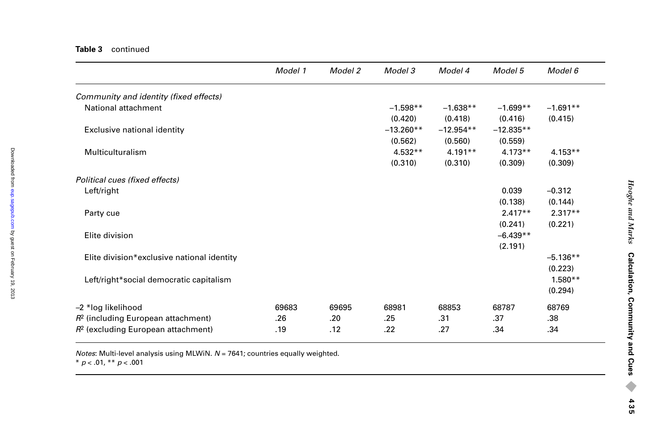#### **Table 3** continued

|                                            | Model 1 | Model 2 | Model 3     | Model 4     | Model 5     | Model 6    |
|--------------------------------------------|---------|---------|-------------|-------------|-------------|------------|
| Community and identity (fixed effects)     |         |         |             |             |             |            |
| National attachment                        |         |         | $-1.598**$  | $-1.638**$  | $-1.699**$  | $-1.691**$ |
|                                            |         |         | (0.420)     | (0.418)     | (0.416)     | (0.415)    |
| Exclusive national identity                |         |         | $-13.260**$ | $-12.954**$ | $-12.835**$ |            |
|                                            |         |         | (0.562)     | (0.560)     | (0.559)     |            |
| Multiculturalism                           |         |         | $4.532**$   | $4.191**$   | $4.173**$   | $4.153**$  |
|                                            |         |         | (0.310)     | (0.310)     | (0.309)     | (0.309)    |
| Political cues (fixed effects)             |         |         |             |             |             |            |
| Left/right                                 |         |         |             |             | 0.039       | $-0.312$   |
|                                            |         |         |             |             | (0.138)     | (0.144)    |
| Party cue                                  |         |         |             |             | $2.417**$   | $2.317**$  |
|                                            |         |         |             |             | (0.241)     | (0.221)    |
| Elite division                             |         |         |             |             | $-6.439**$  |            |
|                                            |         |         |             |             | (2.191)     |            |
| Elite division*exclusive national identity |         |         |             |             |             | $-5.136**$ |
|                                            |         |         |             |             |             | (0.223)    |
| Left/right*social democratic capitalism    |         |         |             |             |             | $1.580**$  |
|                                            |         |         |             |             |             | (0.294)    |
| -2 *log likelihood                         | 69683   | 69695   | 68981       | 68853       | 68787       | 68769      |
| $R2$ (including European attachment)       | .26     | .20     | .25         | .31         | .37         | .38        |
| $R2$ (excluding European attachment)       | .19     | .12     | .22         | .27         | .34         | .34        |

Notes: Multi-level analysis using MLWiN.  $N = 7641$ ; countries equally weighted. \*  $p < .01$ , \*\*  $p < .001$ 

**435**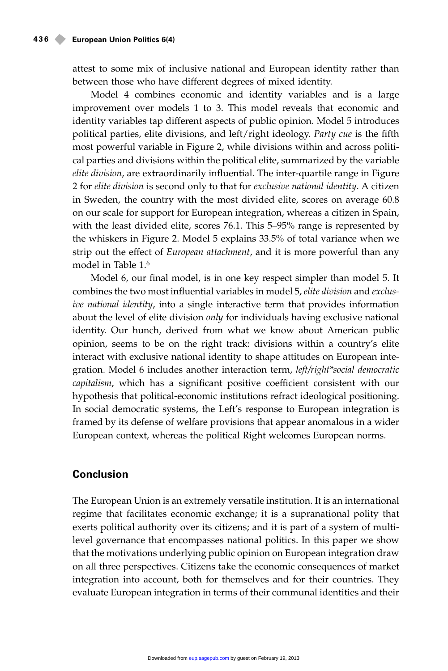attest to some mix of inclusive national and European identity rather than between those who have different degrees of mixed identity.

Model 4 combines economic and identity variables and is a large improvement over models 1 to 3. This model reveals that economic and identity variables tap different aspects of public opinion. Model 5 introduces political parties, elite divisions, and left/right ideology. *Party cue* is the fifth most powerful variable in Figure 2, while divisions within and across political parties and divisions within the political elite, summarized by the variable *elite division*, are extraordinarily influential. The inter-quartile range in Figure 2 for *elite division* is second only to that for *exclusive national identity*. A citizen in Sweden, the country with the most divided elite, scores on average 60.8 on our scale for support for European integration, whereas a citizen in Spain, with the least divided elite, scores 76.1. This 5–95% range is represented by the whiskers in Figure 2. Model 5 explains 33.5% of total variance when we strip out the effect of *European attachment*, and it is more powerful than any model in Table 1.6

Model 6, our final model, is in one key respect simpler than model 5. It combines the two most influential variables in model 5, *elite division* and *exclusive national identity*, into a single interactive term that provides information about the level of elite division *only* for individuals having exclusive national identity. Our hunch, derived from what we know about American public opinion, seems to be on the right track: divisions within a country's elite interact with exclusive national identity to shape attitudes on European integration. Model 6 includes another interaction term, *left/right\*social democratic capitalism*, which has a significant positive coefficient consistent with our hypothesis that political-economic institutions refract ideological positioning. In social democratic systems, the Left's response to European integration is framed by its defense of welfare provisions that appear anomalous in a wider European context, whereas the political Right welcomes European norms.

### **Conclusion**

The European Union is an extremely versatile institution. It is an international regime that facilitates economic exchange; it is a supranational polity that exerts political authority over its citizens; and it is part of a system of multilevel governance that encompasses national politics. In this paper we show that the motivations underlying public opinion on European integration draw on all three perspectives. Citizens take the economic consequences of market integration into account, both for themselves and for their countries. They evaluate European integration in terms of their communal identities and their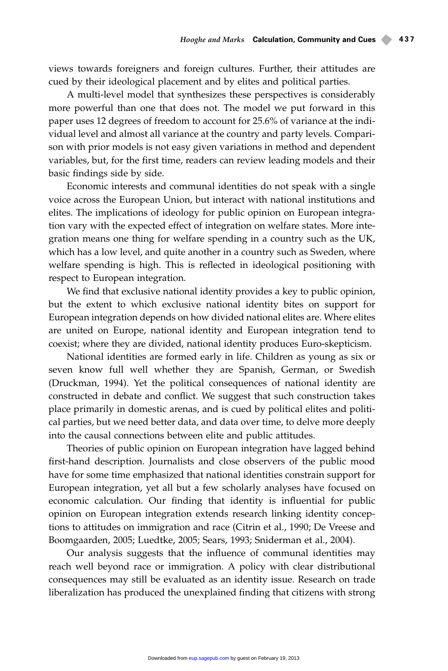views towards foreigners and foreign cultures. Further, their attitudes are cued by their ideological placement and by elites and political parties.

A multi-level model that synthesizes these perspectives is considerably more powerful than one that does not. The model we put forward in this paper uses 12 degrees of freedom to account for 25.6% of variance at the individual level and almost all variance at the country and party levels. Comparison with prior models is not easy given variations in method and dependent variables, but, for the first time, readers can review leading models and their basic findings side by side.

Economic interests and communal identities do not speak with a single voice across the European Union, but interact with national institutions and elites. The implications of ideology for public opinion on European integration vary with the expected effect of integration on welfare states. More integration means one thing for welfare spending in a country such as the UK, which has a low level, and quite another in a country such as Sweden, where welfare spending is high. This is reflected in ideological positioning with respect to European integration.

We find that exclusive national identity provides a key to public opinion, but the extent to which exclusive national identity bites on support for European integration depends on how divided national elites are. Where elites are united on Europe, national identity and European integration tend to coexist; where they are divided, national identity produces Euro-skepticism.

National identities are formed early in life. Children as young as six or seven know full well whether they are Spanish, German, or Swedish (Druckman, 1994). Yet the political consequences of national identity are constructed in debate and conflict. We suggest that such construction takes place primarily in domestic arenas, and is cued by political elites and political parties, but we need better data, and data over time, to delve more deeply into the causal connections between elite and public attitudes.

Theories of public opinion on European integration have lagged behind first-hand description. Journalists and close observers of the public mood have for some time emphasized that national identities constrain support for European integration, yet all but a few scholarly analyses have focused on economic calculation. Our finding that identity is influential for public opinion on European integration extends research linking identity conceptions to attitudes on immigration and race (Citrin et al., 1990; De Vreese and Boomgaarden, 2005; Luedtke, 2005; Sears, 1993; Sniderman et al., 2004).

Our analysis suggests that the influence of communal identities may reach well beyond race or immigration. A policy with clear distributional consequences may still be evaluated as an identity issue. Research on trade liberalization has produced the unexplained finding that citizens with strong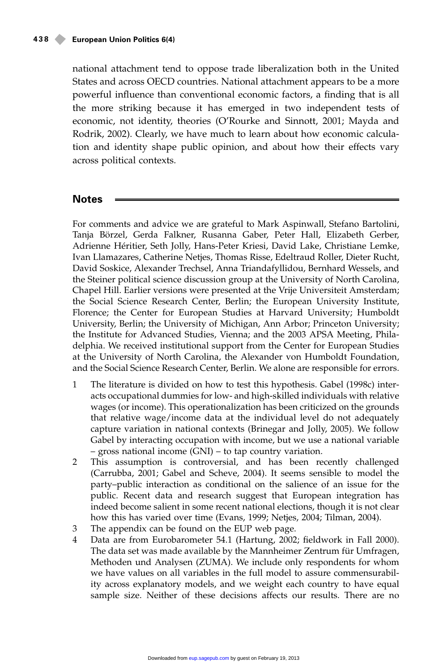national attachment tend to oppose trade liberalization both in the United States and across OECD countries. National attachment appears to be a more powerful influence than conventional economic factors, a finding that is all the more striking because it has emerged in two independent tests of economic, not identity, theories (O'Rourke and Sinnott, 2001; Mayda and Rodrik, 2002). Clearly, we have much to learn about how economic calculation and identity shape public opinion, and about how their effects vary across political contexts.

#### **Notes**

For comments and advice we are grateful to Mark Aspinwall, Stefano Bartolini, Tanja Börzel, Gerda Falkner, Rusanna Gaber, Peter Hall, Elizabeth Gerber, Adrienne Héritier, Seth Jolly, Hans-Peter Kriesi, David Lake, Christiane Lemke, Ivan Llamazares, Catherine Netjes, Thomas Risse, Edeltraud Roller, Dieter Rucht, David Soskice, Alexander Trechsel, Anna Triandafyllidou, Bernhard Wessels, and the Steiner political science discussion group at the University of North Carolina, Chapel Hill. Earlier versions were presented at the Vrije Universiteit Amsterdam; the Social Science Research Center, Berlin; the European University Institute, Florence; the Center for European Studies at Harvard University; Humboldt University, Berlin; the University of Michigan, Ann Arbor; Princeton University; the Institute for Advanced Studies, Vienna; and the 2003 APSA Meeting, Philadelphia. We received institutional support from the Center for European Studies at the University of North Carolina, the Alexander von Humboldt Foundation, and the Social Science Research Center, Berlin. We alone are responsible for errors.

- 1 The literature is divided on how to test this hypothesis. Gabel (1998c) interacts occupational dummies for low- and high-skilled individuals with relative wages (or income). This operationalization has been criticized on the grounds that relative wage/income data at the individual level do not adequately capture variation in national contexts (Brinegar and Jolly, 2005). We follow Gabel by interacting occupation with income, but we use a national variable – gross national income (GNI) – to tap country variation.
- 2 This assumption is controversial, and has been recently challenged (Carrubba, 2001; Gabel and Scheve, 2004). It seems sensible to model the party–public interaction as conditional on the salience of an issue for the public. Recent data and research suggest that European integration has indeed become salient in some recent national elections, though it is not clear how this has varied over time (Evans, 1999; Netjes, 2004; Tilman, 2004).
- 3 The appendix can be found on the EUP web page.
- 4 Data are from Eurobarometer 54.1 (Hartung, 2002; fieldwork in Fall 2000). The data set was made available by the Mannheimer Zentrum für Umfragen, Methoden und Analysen (ZUMA). We include only respondents for whom we have values on all variables in the full model to assure commensurability across explanatory models, and we weight each country to have equal sample size. Neither of these decisions affects our results. There are no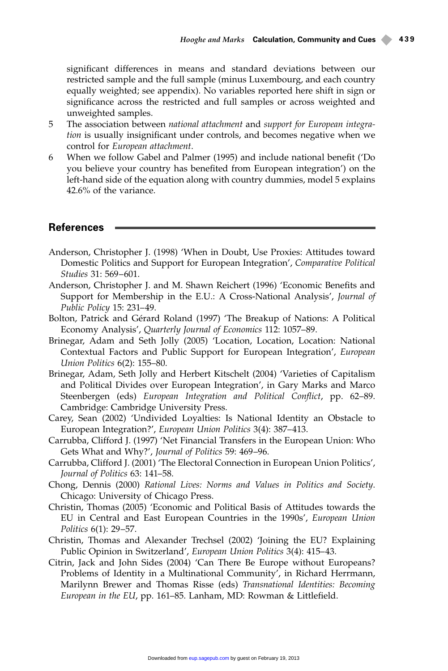significant differences in means and standard deviations between our restricted sample and the full sample (minus Luxembourg, and each country equally weighted; see appendix). No variables reported here shift in sign or significance across the restricted and full samples or across weighted and unweighted samples.

- 5 The association between *national attachment* and *support for European integration* is usually insignificant under controls, and becomes negative when we control for *European attachment*.
- 6 When we follow Gabel and Palmer (1995) and include national benefit ('Do you believe your country has benefited from European integration') on the left-hand side of the equation along with country dummies, model 5 explains 42.6% of the variance.

### **References**

- Anderson, Christopher J. (1998) 'When in Doubt, Use Proxies: Attitudes toward Domestic Politics and Support for European Integration', *Comparative Political Studies* 31: 569–601.
- Anderson, Christopher J. and M. Shawn Reichert (1996) 'Economic Benefits and Support for Membership in the E.U.: A Cross-National Analysis', *Journal of Public Policy* 15: 231–49.
- Bolton, Patrick and Gérard Roland (1997) 'The Breakup of Nations: A Political Economy Analysis', *Quarterly Journal of Economics* 112: 1057–89.
- Brinegar, Adam and Seth Jolly (2005) 'Location, Location, Location: National Contextual Factors and Public Support for European Integration', *European Union Politics* 6(2): 155–80.
- Brinegar, Adam, Seth Jolly and Herbert Kitschelt (2004) 'Varieties of Capitalism and Political Divides over European Integration', in Gary Marks and Marco Steenbergen (eds) *European Integration and Political Conflict*, pp. 62–89. Cambridge: Cambridge University Press.
- Carey, Sean (2002) 'Undivided Loyalties: Is National Identity an Obstacle to European Integration?', *European Union Politics* 3(4): 387–413.
- Carrubba, Clifford J. (1997) 'Net Financial Transfers in the European Union: Who Gets What and Why?', *Journal of Politics* 59: 469–96.
- Carrubba, Clifford J. (2001) 'The Electoral Connection in European Union Politics', *Journal of Politics* 63: 141–58.
- Chong, Dennis (2000) *Rational Lives: Norms and Values in Politics and Society*. Chicago: University of Chicago Press.
- Christin, Thomas (2005) 'Economic and Political Basis of Attitudes towards the EU in Central and East European Countries in the 1990s', *European Union Politics* 6(1): 29–57.
- Christin, Thomas and Alexander Trechsel (2002) 'Joining the EU? Explaining Public Opinion in Switzerland', *European Union Politics* 3(4): 415–43.
- Citrin, Jack and John Sides (2004) 'Can There Be Europe without Europeans? Problems of Identity in a Multinational Community', in Richard Herrmann, Marilynn Brewer and Thomas Risse (eds) *Transnational Identities: Becoming European in the EU*, pp. 161–85. Lanham, MD: Rowman & Littlefield.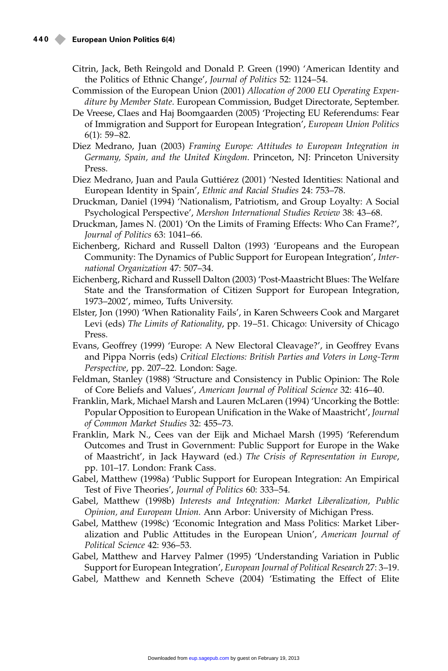- Citrin, Jack, Beth Reingold and Donald P. Green (1990) 'American Identity and the Politics of Ethnic Change', *Journal of Politics* 52: 1124–54.
- Commission of the European Union (2001) *Allocation of 2000 EU Operating Expenditure by Member State*. European Commission, Budget Directorate, September.
- De Vreese, Claes and Haj Boomgaarden (2005) 'Projecting EU Referendums: Fear of Immigration and Support for European Integration', *European Union Politics* 6(1): 59–82.
- Diez Medrano, Juan (2003) *Framing Europe: Attitudes to European Integration in Germany, Spain, and the United Kingdom*. Princeton, NJ: Princeton University Press.
- Diez Medrano, Juan and Paula Guttiérez (2001) 'Nested Identities: National and European Identity in Spain', *Ethnic and Racial Studies* 24: 753–78.
- Druckman, Daniel (1994) 'Nationalism, Patriotism, and Group Loyalty: A Social Psychological Perspective', *Mershon International Studies Review* 38: 43–68.
- Druckman, James N. (2001) 'On the Limits of Framing Effects: Who Can Frame?', *Journal of Politics* 63: 1041–66.
- Eichenberg, Richard and Russell Dalton (1993) 'Europeans and the European Community: The Dynamics of Public Support for European Integration', *International Organization* 47: 507–34.
- Eichenberg, Richard and Russell Dalton (2003) 'Post-Maastricht Blues: The Welfare State and the Transformation of Citizen Support for European Integration, 1973–2002', mimeo, Tufts University.
- Elster, Jon (1990) 'When Rationality Fails', in Karen Schweers Cook and Margaret Levi (eds) *The Limits of Rationality*, pp. 19–51. Chicago: University of Chicago Press.
- Evans, Geoffrey (1999) 'Europe: A New Electoral Cleavage?', in Geoffrey Evans and Pippa Norris (eds) *Critical Elections: British Parties and Voters in Long-Term Perspective*, pp. 207–22. London: Sage.
- Feldman, Stanley (1988) 'Structure and Consistency in Public Opinion: The Role of Core Beliefs and Values', *American Journal of Political Science* 32: 416–40.
- Franklin, Mark, Michael Marsh and Lauren McLaren (1994) 'Uncorking the Bottle: Popular Opposition to European Unification in the Wake of Maastricht', *Journal of Common Market Studies* 32: 455–73.
- Franklin, Mark N., Cees van der Eijk and Michael Marsh (1995) 'Referendum Outcomes and Trust in Government: Public Support for Europe in the Wake of Maastricht', in Jack Hayward (ed.) *The Crisis of Representation in Europe*, pp. 101–17. London: Frank Cass.
- Gabel, Matthew (1998a) 'Public Support for European Integration: An Empirical Test of Five Theories', *Journal of Politics* 60: 333–54.
- Gabel, Matthew (1998b) *Interests and Integration: Market Liberalization, Public Opinion, and European Union.* Ann Arbor: University of Michigan Press.
- Gabel, Matthew (1998c) 'Economic Integration and Mass Politics: Market Liberalization and Public Attitudes in the European Union', *American Journal of Political Science* 42: 936–53.
- Gabel, Matthew and Harvey Palmer (1995) 'Understanding Variation in Public Support for European Integration', *European Journal of Political Research* 27: 3–19.

Gabel, Matthew and Kenneth Scheve (2004) 'Estimating the Effect of Elite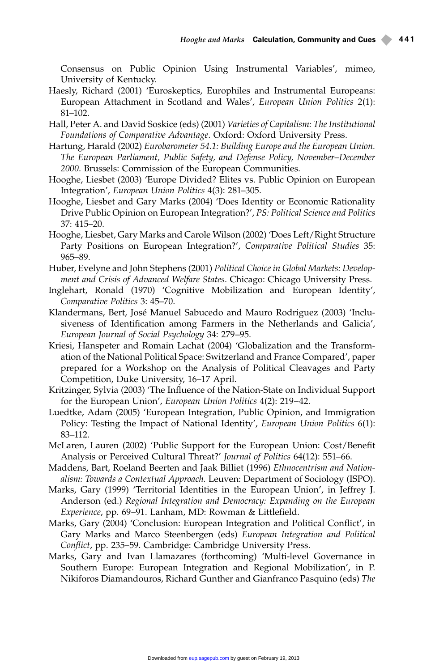Consensus on Public Opinion Using Instrumental Variables', mimeo, University of Kentucky.

- Haesly, Richard (2001) 'Euroskeptics, Europhiles and Instrumental Europeans: European Attachment in Scotland and Wales', *European Union Politics* 2(1): 81–102.
- Hall, Peter A. and David Soskice (eds) (2001) *Varieties of Capitalism: The Institutional Foundations of Comparative Advantage*. Oxford: Oxford University Press.
- Hartung, Harald (2002) *Eurobarometer 54.1: Building Europe and the European Union. The European Parliament, Public Safety, and Defense Policy, November–December 2000*. Brussels: Commission of the European Communities.
- Hooghe, Liesbet (2003) 'Europe Divided? Elites vs. Public Opinion on European Integration', *European Union Politics* 4(3): 281–305.
- Hooghe, Liesbet and Gary Marks (2004) 'Does Identity or Economic Rationality Drive Public Opinion on European Integration?', *PS: Political Science and Politics* 37: 415–20.
- Hooghe, Liesbet, Gary Marks and Carole Wilson (2002) 'Does Left/Right Structure Party Positions on European Integration?', *Comparative Political Studies* 35: 965–89.
- Huber, Evelyne and John Stephens (2001) *Political Choice in Global Markets: Development and Crisis of Advanced Welfare States*. Chicago: Chicago University Press.
- Inglehart, Ronald (1970) 'Cognitive Mobilization and European Identity', *Comparative Politics* 3: 45–70.
- Klandermans, Bert, José Manuel Sabucedo and Mauro Rodriguez (2003) 'Inclusiveness of Identification among Farmers in the Netherlands and Galicia', *European Journal of Social Psychology* 34: 279–95.
- Kriesi, Hanspeter and Romain Lachat (2004) 'Globalization and the Transformation of the National Political Space: Switzerland and France Compared', paper prepared for a Workshop on the Analysis of Political Cleavages and Party Competition, Duke University, 16–17 April.
- Kritzinger, Sylvia (2003) 'The Influence of the Nation-State on Individual Support for the European Union', *European Union Politics* 4(2): 219–42.
- Luedtke, Adam (2005) 'European Integration, Public Opinion, and Immigration Policy: Testing the Impact of National Identity', *European Union Politics* 6(1): 83–112.
- McLaren, Lauren (2002) 'Public Support for the European Union: Cost/Benefit Analysis or Perceived Cultural Threat?' *Journal of Politics* 64(12): 551–66.
- Maddens, Bart, Roeland Beerten and Jaak Billiet (1996) *Ethnocentrism and Nationalism: Towards a Contextual Approach.* Leuven: Department of Sociology (ISPO).
- Marks, Gary (1999) 'Territorial Identities in the European Union', in Jeffrey J. Anderson (ed.) *Regional Integration and Democracy: Expanding on the European Experience*, pp. 69–91. Lanham, MD: Rowman & Littlefield.
- Marks, Gary (2004) 'Conclusion: European Integration and Political Conflict', in Gary Marks and Marco Steenbergen (eds) *European Integration and Political Conflict*, pp. 235–59. Cambridge: Cambridge University Press.
- Marks, Gary and Ivan Llamazares (forthcoming) 'Multi-level Governance in Southern Europe: European Integration and Regional Mobilization', in P. Nikiforos Diamandouros, Richard Gunther and Gianfranco Pasquino (eds) *The*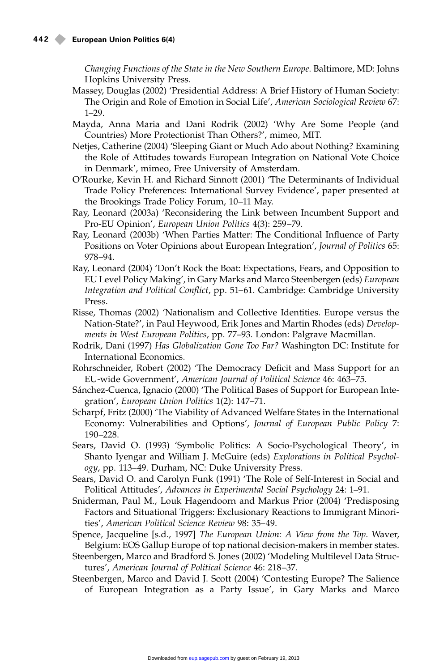*Changing Functions of the State in the New Southern Europe*. Baltimore, MD: Johns Hopkins University Press.

- Massey, Douglas (2002) 'Presidential Address: A Brief History of Human Society: The Origin and Role of Emotion in Social Life', *American Sociological Review* 67: 1–29.
- Mayda, Anna Maria and Dani Rodrik (2002) 'Why Are Some People (and Countries) More Protectionist Than Others?', mimeo, MIT.
- Netjes, Catherine (2004) 'Sleeping Giant or Much Ado about Nothing? Examining the Role of Attitudes towards European Integration on National Vote Choice in Denmark', mimeo, Free University of Amsterdam.
- O'Rourke, Kevin H. and Richard Sinnott (2001) 'The Determinants of Individual Trade Policy Preferences: International Survey Evidence', paper presented at the Brookings Trade Policy Forum, 10–11 May.
- Ray, Leonard (2003a) 'Reconsidering the Link between Incumbent Support and Pro-EU Opinion', *European Union Politics* 4(3): 259–79.
- Ray, Leonard (2003b) 'When Parties Matter: The Conditional Influence of Party Positions on Voter Opinions about European Integration', *Journal of Politics* 65: 978–94.
- Ray, Leonard (2004) 'Don't Rock the Boat: Expectations, Fears, and Opposition to EU Level Policy Making', in Gary Marks and Marco Steenbergen (eds) *European Integration and Political Conflict*, pp. 51–61. Cambridge: Cambridge University Press.
- Risse, Thomas (2002) 'Nationalism and Collective Identities. Europe versus the Nation-State?', in Paul Heywood, Erik Jones and Martin Rhodes (eds) *Developments in West European Politics*, pp. 77–93. London: Palgrave Macmillan.
- Rodrik, Dani (1997) *Has Globalization Gone Too Far?* Washington DC: Institute for International Economics.
- Rohrschneider, Robert (2002) 'The Democracy Deficit and Mass Support for an EU-wide Government', *American Journal of Political Science* 46: 463–75.
- Sánchez-Cuenca, Ignacio (2000) 'The Political Bases of Support for European Integration', *European Union Politics* 1(2): 147–71.
- Scharpf, Fritz (2000) 'The Viability of Advanced Welfare States in the International Economy: Vulnerabilities and Options', *Journal of European Public Policy* 7: 190–228.
- Sears, David O. (1993) 'Symbolic Politics: A Socio-Psychological Theory', in Shanto Iyengar and William J. McGuire (eds) *Explorations in Political Psychology*, pp. 113–49. Durham, NC: Duke University Press.
- Sears, David O. and Carolyn Funk (1991) 'The Role of Self-Interest in Social and Political Attitudes', *Advances in Experimental Social Psychology* 24: 1–91.
- Sniderman, Paul M., Louk Hagendoorn and Markus Prior (2004) 'Predisposing Factors and Situational Triggers: Exclusionary Reactions to Immigrant Minorities', *American Political Science Review* 98: 35–49.
- Spence, Jacqueline [s.d., 1997] *The European Union: A View from the Top*. Waver, Belgium: EOS Gallup Europe of top national decision-makers in member states.
- Steenbergen, Marco and Bradford S. Jones (2002) 'Modeling Multilevel Data Structures', *American Journal of Political Science* 46: 218–37.
- Steenbergen, Marco and David J. Scott (2004) 'Contesting Europe? The Salience of European Integration as a Party Issue', in Gary Marks and Marco